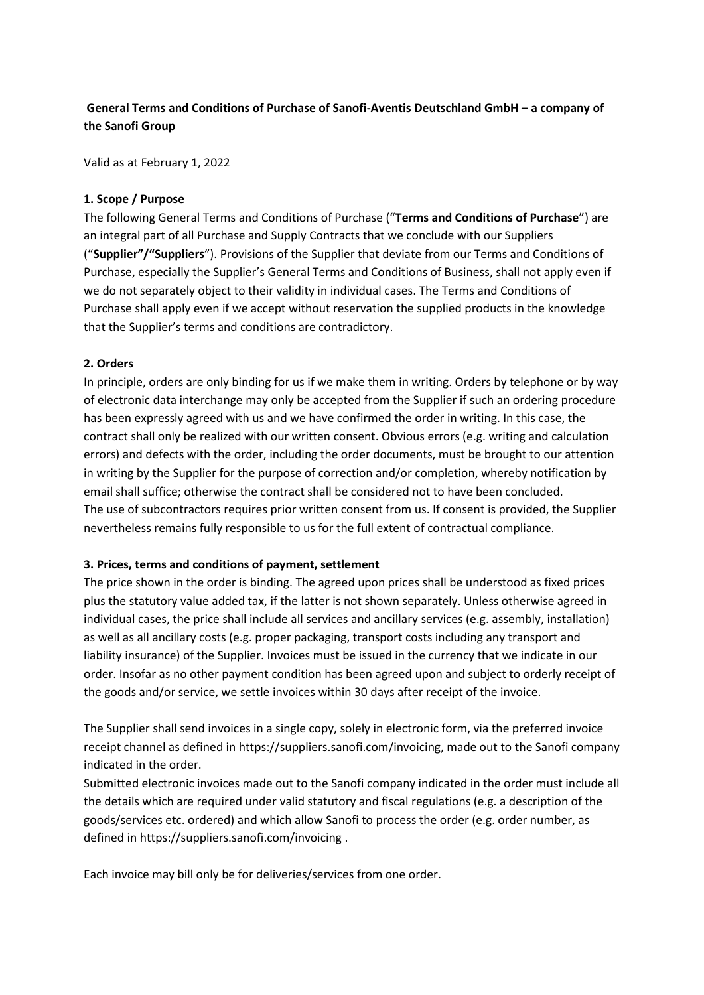# **General Terms and Conditions of Purchase of Sanofi-Aventis Deutschland GmbH – a company of the Sanofi Group**

Valid as at February 1, 2022

#### **1. Scope / Purpose**

The following General Terms and Conditions of Purchase ("**Terms and Conditions of Purchase**") are an integral part of all Purchase and Supply Contracts that we conclude with our Suppliers ("**Supplier"/"Suppliers**"). Provisions of the Supplier that deviate from our Terms and Conditions of Purchase, especially the Supplier's General Terms and Conditions of Business, shall not apply even if we do not separately object to their validity in individual cases. The Terms and Conditions of Purchase shall apply even if we accept without reservation the supplied products in the knowledge that the Supplier's terms and conditions are contradictory.

#### **2. Orders**

In principle, orders are only binding for us if we make them in writing. Orders by telephone or by way of electronic data interchange may only be accepted from the Supplier if such an ordering procedure has been expressly agreed with us and we have confirmed the order in writing. In this case, the contract shall only be realized with our written consent. Obvious errors (e.g. writing and calculation errors) and defects with the order, including the order documents, must be brought to our attention in writing by the Supplier for the purpose of correction and/or completion, whereby notification by email shall suffice; otherwise the contract shall be considered not to have been concluded. The use of subcontractors requires prior written consent from us. If consent is provided, the Supplier nevertheless remains fully responsible to us for the full extent of contractual compliance.

#### **3. Prices, terms and conditions of payment, settlement**

The price shown in the order is binding. The agreed upon prices shall be understood as fixed prices plus the statutory value added tax, if the latter is not shown separately. Unless otherwise agreed in individual cases, the price shall include all services and ancillary services (e.g. assembly, installation) as well as all ancillary costs (e.g. proper packaging, transport costs including any transport and liability insurance) of the Supplier. Invoices must be issued in the currency that we indicate in our order. Insofar as no other payment condition has been agreed upon and subject to orderly receipt of the goods and/or service, we settle invoices within 30 days after receipt of the invoice.

The Supplier shall send invoices in a single copy, solely in electronic form, via the preferred invoice receipt channel as defined in https://suppliers.sanofi.com/invoicing, made out to the Sanofi company indicated in the order.

Submitted electronic invoices made out to the Sanofi company indicated in the order must include all the details which are required under valid statutory and fiscal regulations (e.g. a description of the goods/services etc. ordered) and which allow Sanofi to process the order (e.g. order number, as defined in https://suppliers.sanofi.com/invoicing .

Each invoice may bill only be for deliveries/services from one order.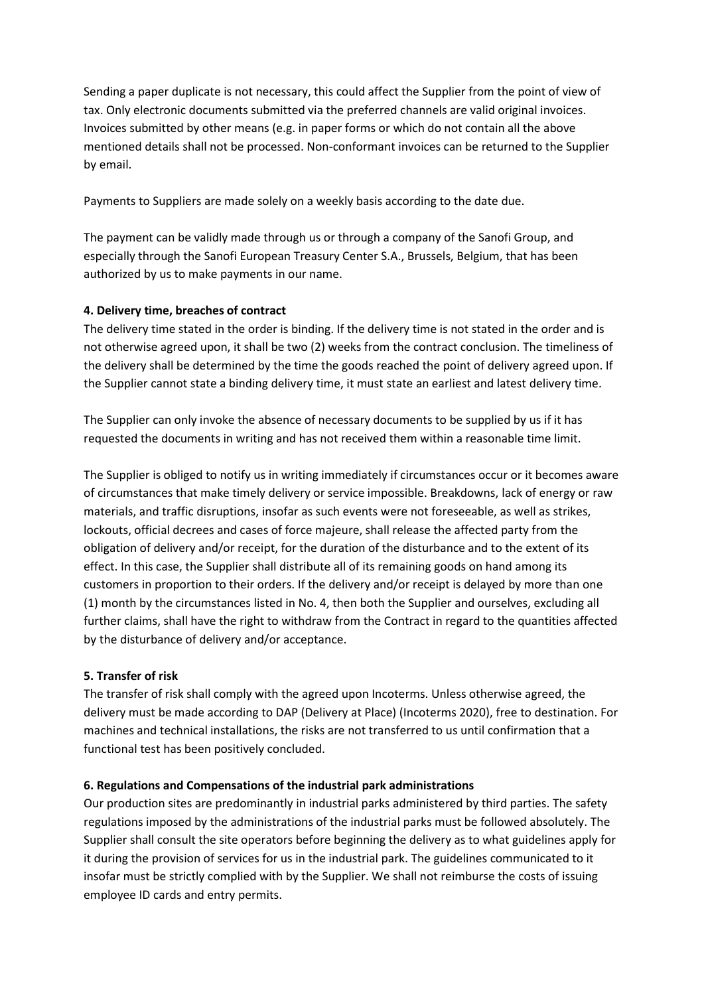Sending a paper duplicate is not necessary, this could affect the Supplier from the point of view of tax. Only electronic documents submitted via the preferred channels are valid original invoices. Invoices submitted by other means (e.g. in paper forms or which do not contain all the above mentioned details shall not be processed. Non-conformant invoices can be returned to the Supplier by email.

Payments to Suppliers are made solely on a weekly basis according to the date due.

The payment can be validly made through us or through a company of the Sanofi Group, and especially through the Sanofi European Treasury Center S.A., Brussels, Belgium, that has been authorized by us to make payments in our name.

# **4. Delivery time, breaches of contract**

The delivery time stated in the order is binding. If the delivery time is not stated in the order and is not otherwise agreed upon, it shall be two (2) weeks from the contract conclusion. The timeliness of the delivery shall be determined by the time the goods reached the point of delivery agreed upon. If the Supplier cannot state a binding delivery time, it must state an earliest and latest delivery time.

The Supplier can only invoke the absence of necessary documents to be supplied by us if it has requested the documents in writing and has not received them within a reasonable time limit.

The Supplier is obliged to notify us in writing immediately if circumstances occur or it becomes aware of circumstances that make timely delivery or service impossible. Breakdowns, lack of energy or raw materials, and traffic disruptions, insofar as such events were not foreseeable, as well as strikes, lockouts, official decrees and cases of force majeure, shall release the affected party from the obligation of delivery and/or receipt, for the duration of the disturbance and to the extent of its effect. In this case, the Supplier shall distribute all of its remaining goods on hand among its customers in proportion to their orders. If the delivery and/or receipt is delayed by more than one (1) month by the circumstances listed in No. 4, then both the Supplier and ourselves, excluding all further claims, shall have the right to withdraw from the Contract in regard to the quantities affected by the disturbance of delivery and/or acceptance.

# **5. Transfer of risk**

The transfer of risk shall comply with the agreed upon Incoterms. Unless otherwise agreed, the delivery must be made according to DAP (Delivery at Place) (Incoterms 2020), free to destination. For machines and technical installations, the risks are not transferred to us until confirmation that a functional test has been positively concluded.

# **6. Regulations and Compensations of the industrial park administrations**

Our production sites are predominantly in industrial parks administered by third parties. The safety regulations imposed by the administrations of the industrial parks must be followed absolutely. The Supplier shall consult the site operators before beginning the delivery as to what guidelines apply for it during the provision of services for us in the industrial park. The guidelines communicated to it insofar must be strictly complied with by the Supplier. We shall not reimburse the costs of issuing employee ID cards and entry permits.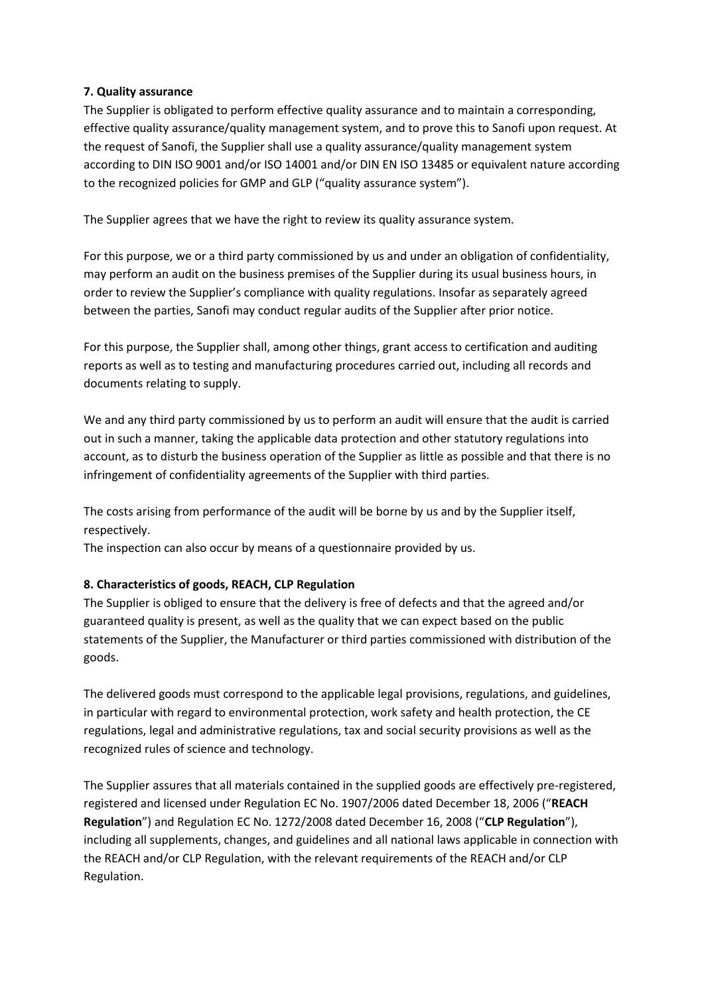# **7. Quality assurance**

The Supplier is obligated to perform effective quality assurance and to maintain a corresponding, effective quality assurance/quality management system, and to prove this to Sanofi upon request. At the request of Sanofi, the Supplier shall use a quality assurance/quality management system according to DIN ISO 9001 and/or ISO 14001 and/or DIN EN ISO 13485 or equivalent nature according to the recognized policies for GMP and GLP ("quality assurance system").

The Supplier agrees that we have the right to review its quality assurance system.

For this purpose, we or a third party commissioned by us and under an obligation of confidentiality, may perform an audit on the business premises of the Supplier during its usual business hours, in order to review the Supplier's compliance with quality regulations. Insofar as separately agreed between the parties, Sanofi may conduct regular audits of the Supplier after prior notice.

For this purpose, the Supplier shall, among other things, grant access to certification and auditing reports as well as to testing and manufacturing procedures carried out, including all records and documents relating to supply.

We and any third party commissioned by us to perform an audit will ensure that the audit is carried out in such a manner, taking the applicable data protection and other statutory regulations into account, as to disturb the business operation of the Supplier as little as possible and that there is no infringement of confidentiality agreements of the Supplier with third parties.

The costs arising from performance of the audit will be borne by us and by the Supplier itself, respectively.

The inspection can also occur by means of a questionnaire provided by us.

# **8. Characteristics of goods, REACH, CLP Regulation**

The Supplier is obliged to ensure that the delivery is free of defects and that the agreed and/or guaranteed quality is present, as well as the quality that we can expect based on the public statements of the Supplier, the Manufacturer or third parties commissioned with distribution of the goods.

The delivered goods must correspond to the applicable legal provisions, regulations, and guidelines, in particular with regard to environmental protection, work safety and health protection, the CE regulations, legal and administrative regulations, tax and social security provisions as well as the recognized rules of science and technology.

The Supplier assures that all materials contained in the supplied goods are effectively pre-registered, registered and licensed under Regulation EC No. 1907/2006 dated December 18, 2006 ("**REACH Regulation**") and Regulation EC No. 1272/2008 dated December 16, 2008 ("**CLP Regulation**"), including all supplements, changes, and guidelines and all national laws applicable in connection with the REACH and/or CLP Regulation, with the relevant requirements of the REACH and/or CLP Regulation.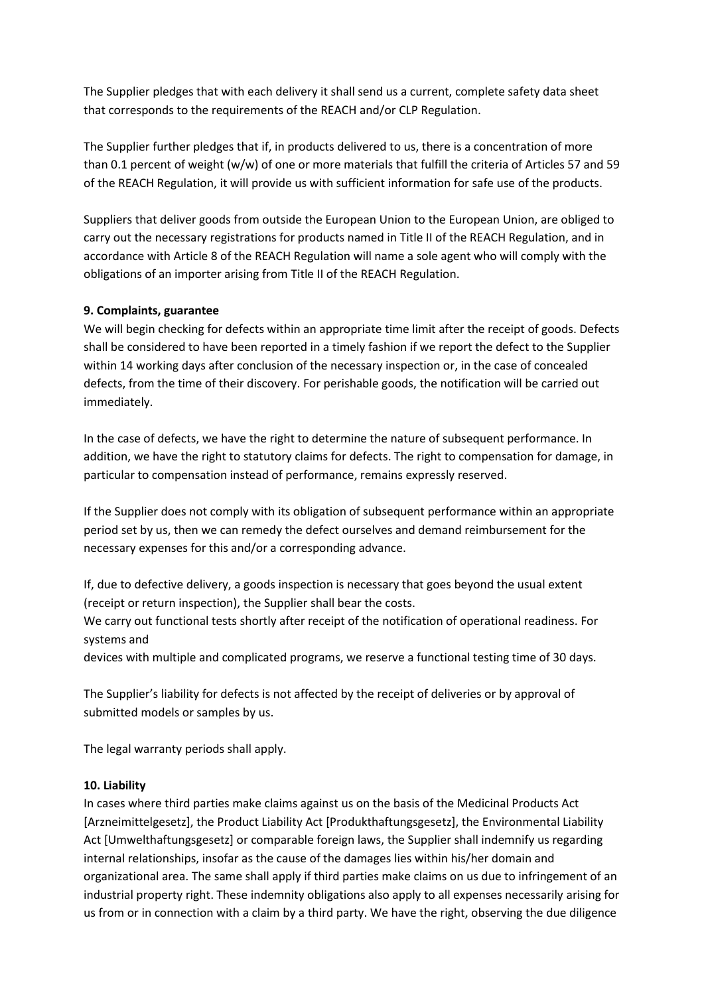The Supplier pledges that with each delivery it shall send us a current, complete safety data sheet that corresponds to the requirements of the REACH and/or CLP Regulation.

The Supplier further pledges that if, in products delivered to us, there is a concentration of more than 0.1 percent of weight (w/w) of one or more materials that fulfill the criteria of Articles 57 and 59 of the REACH Regulation, it will provide us with sufficient information for safe use of the products.

Suppliers that deliver goods from outside the European Union to the European Union, are obliged to carry out the necessary registrations for products named in Title II of the REACH Regulation, and in accordance with Article 8 of the REACH Regulation will name a sole agent who will comply with the obligations of an importer arising from Title II of the REACH Regulation.

#### **9. Complaints, guarantee**

We will begin checking for defects within an appropriate time limit after the receipt of goods. Defects shall be considered to have been reported in a timely fashion if we report the defect to the Supplier within 14 working days after conclusion of the necessary inspection or, in the case of concealed defects, from the time of their discovery. For perishable goods, the notification will be carried out immediately.

In the case of defects, we have the right to determine the nature of subsequent performance. In addition, we have the right to statutory claims for defects. The right to compensation for damage, in particular to compensation instead of performance, remains expressly reserved.

If the Supplier does not comply with its obligation of subsequent performance within an appropriate period set by us, then we can remedy the defect ourselves and demand reimbursement for the necessary expenses for this and/or a corresponding advance.

If, due to defective delivery, a goods inspection is necessary that goes beyond the usual extent (receipt or return inspection), the Supplier shall bear the costs.

We carry out functional tests shortly after receipt of the notification of operational readiness. For systems and

devices with multiple and complicated programs, we reserve a functional testing time of 30 days.

The Supplier's liability for defects is not affected by the receipt of deliveries or by approval of submitted models or samples by us.

The legal warranty periods shall apply.

# **10. Liability**

In cases where third parties make claims against us on the basis of the Medicinal Products Act [Arzneimittelgesetz], the Product Liability Act [Produkthaftungsgesetz], the Environmental Liability Act [Umwelthaftungsgesetz] or comparable foreign laws, the Supplier shall indemnify us regarding internal relationships, insofar as the cause of the damages lies within his/her domain and organizational area. The same shall apply if third parties make claims on us due to infringement of an industrial property right. These indemnity obligations also apply to all expenses necessarily arising for us from or in connection with a claim by a third party. We have the right, observing the due diligence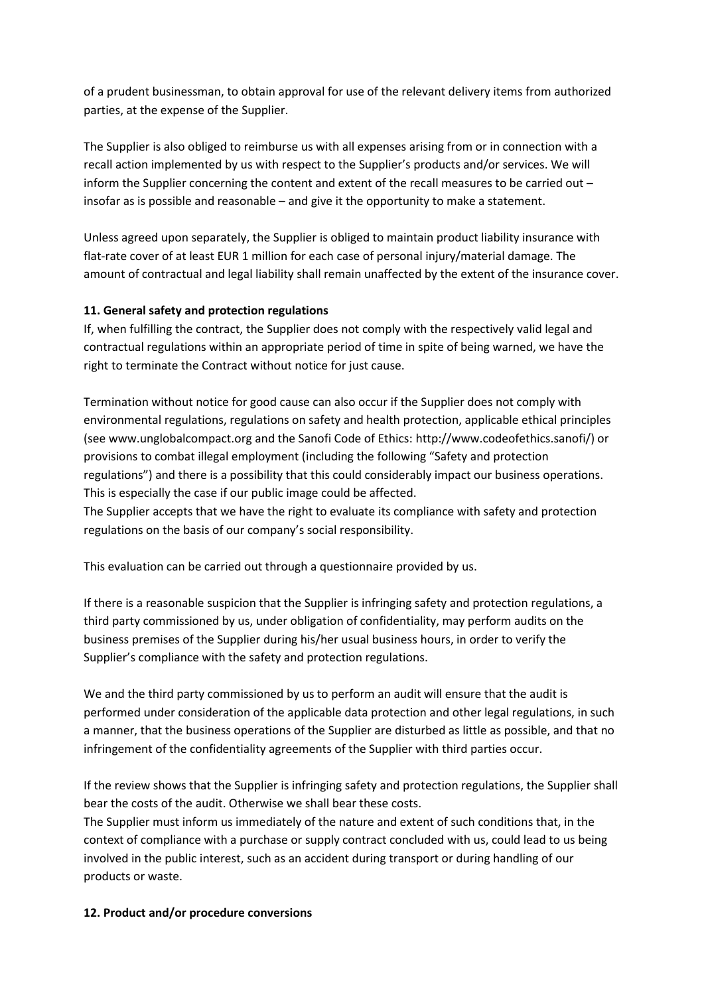of a prudent businessman, to obtain approval for use of the relevant delivery items from authorized parties, at the expense of the Supplier.

The Supplier is also obliged to reimburse us with all expenses arising from or in connection with a recall action implemented by us with respect to the Supplier's products and/or services. We will inform the Supplier concerning the content and extent of the recall measures to be carried out – insofar as is possible and reasonable – and give it the opportunity to make a statement.

Unless agreed upon separately, the Supplier is obliged to maintain product liability insurance with flat-rate cover of at least EUR 1 million for each case of personal injury/material damage. The amount of contractual and legal liability shall remain unaffected by the extent of the insurance cover.

# **11. General safety and protection regulations**

If, when fulfilling the contract, the Supplier does not comply with the respectively valid legal and contractual regulations within an appropriate period of time in spite of being warned, we have the right to terminate the Contract without notice for just cause.

Termination without notice for good cause can also occur if the Supplier does not comply with environmental regulations, regulations on safety and health protection, applicable ethical principles (see www.unglobalcompact.org and the Sanofi Code of Ethics: http://www.codeofethics.sanofi/) or provisions to combat illegal employment (including the following "Safety and protection regulations") and there is a possibility that this could considerably impact our business operations. This is especially the case if our public image could be affected.

The Supplier accepts that we have the right to evaluate its compliance with safety and protection regulations on the basis of our company's social responsibility.

This evaluation can be carried out through a questionnaire provided by us.

If there is a reasonable suspicion that the Supplier is infringing safety and protection regulations, a third party commissioned by us, under obligation of confidentiality, may perform audits on the business premises of the Supplier during his/her usual business hours, in order to verify the Supplier's compliance with the safety and protection regulations.

We and the third party commissioned by us to perform an audit will ensure that the audit is performed under consideration of the applicable data protection and other legal regulations, in such a manner, that the business operations of the Supplier are disturbed as little as possible, and that no infringement of the confidentiality agreements of the Supplier with third parties occur.

If the review shows that the Supplier is infringing safety and protection regulations, the Supplier shall bear the costs of the audit. Otherwise we shall bear these costs.

The Supplier must inform us immediately of the nature and extent of such conditions that, in the context of compliance with a purchase or supply contract concluded with us, could lead to us being involved in the public interest, such as an accident during transport or during handling of our products or waste.

# **12. Product and/or procedure conversions**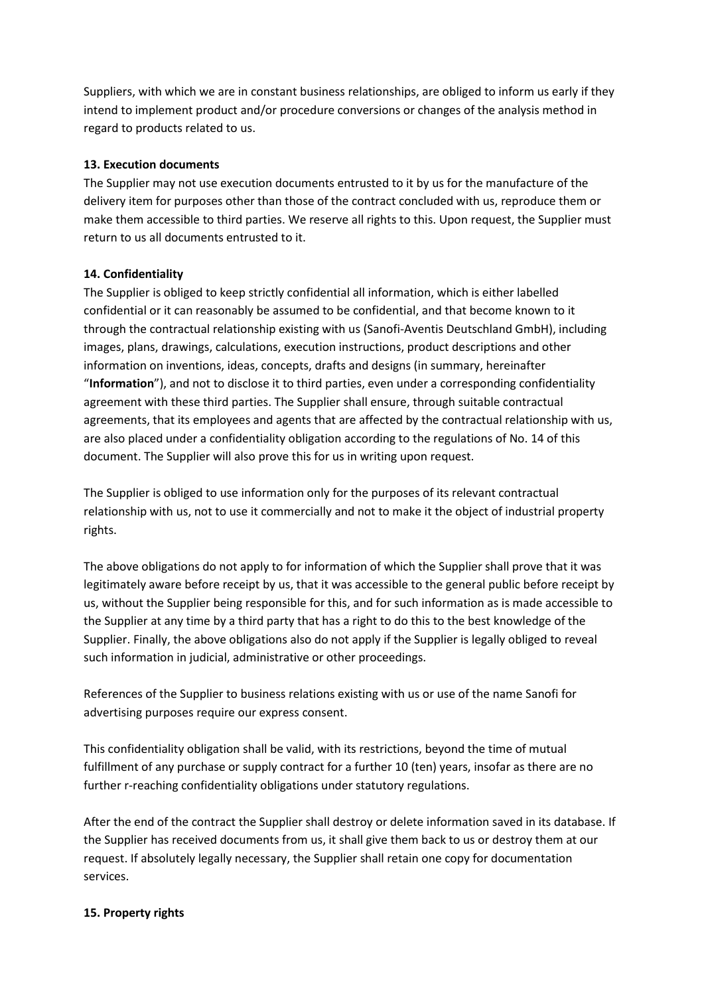Suppliers, with which we are in constant business relationships, are obliged to inform us early if they intend to implement product and/or procedure conversions or changes of the analysis method in regard to products related to us.

#### **13. Execution documents**

The Supplier may not use execution documents entrusted to it by us for the manufacture of the delivery item for purposes other than those of the contract concluded with us, reproduce them or make them accessible to third parties. We reserve all rights to this. Upon request, the Supplier must return to us all documents entrusted to it.

# **14. Confidentiality**

The Supplier is obliged to keep strictly confidential all information, which is either labelled confidential or it can reasonably be assumed to be confidential, and that become known to it through the contractual relationship existing with us (Sanofi-Aventis Deutschland GmbH), including images, plans, drawings, calculations, execution instructions, product descriptions and other information on inventions, ideas, concepts, drafts and designs (in summary, hereinafter "**Information**"), and not to disclose it to third parties, even under a corresponding confidentiality agreement with these third parties. The Supplier shall ensure, through suitable contractual agreements, that its employees and agents that are affected by the contractual relationship with us, are also placed under a confidentiality obligation according to the regulations of No. 14 of this document. The Supplier will also prove this for us in writing upon request.

The Supplier is obliged to use information only for the purposes of its relevant contractual relationship with us, not to use it commercially and not to make it the object of industrial property rights.

The above obligations do not apply to for information of which the Supplier shall prove that it was legitimately aware before receipt by us, that it was accessible to the general public before receipt by us, without the Supplier being responsible for this, and for such information as is made accessible to the Supplier at any time by a third party that has a right to do this to the best knowledge of the Supplier. Finally, the above obligations also do not apply if the Supplier is legally obliged to reveal such information in judicial, administrative or other proceedings.

References of the Supplier to business relations existing with us or use of the name Sanofi for advertising purposes require our express consent.

This confidentiality obligation shall be valid, with its restrictions, beyond the time of mutual fulfillment of any purchase or supply contract for a further 10 (ten) years, insofar as there are no further r-reaching confidentiality obligations under statutory regulations.

After the end of the contract the Supplier shall destroy or delete information saved in its database. If the Supplier has received documents from us, it shall give them back to us or destroy them at our request. If absolutely legally necessary, the Supplier shall retain one copy for documentation services.

# **15. Property rights**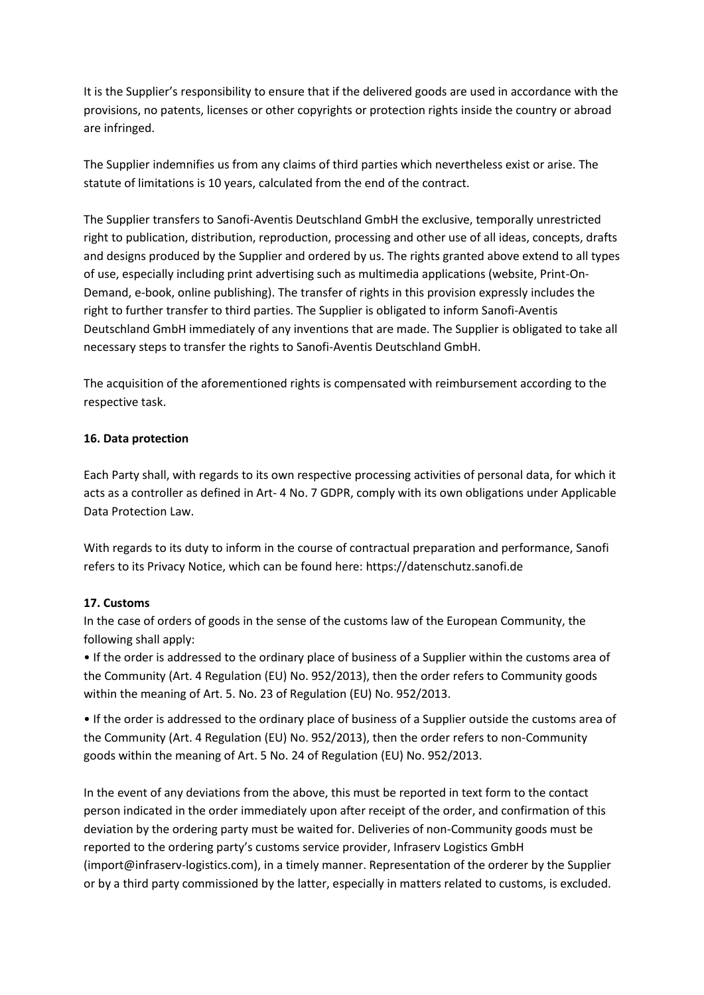It is the Supplier's responsibility to ensure that if the delivered goods are used in accordance with the provisions, no patents, licenses or other copyrights or protection rights inside the country or abroad are infringed.

The Supplier indemnifies us from any claims of third parties which nevertheless exist or arise. The statute of limitations is 10 years, calculated from the end of the contract.

The Supplier transfers to Sanofi-Aventis Deutschland GmbH the exclusive, temporally unrestricted right to publication, distribution, reproduction, processing and other use of all ideas, concepts, drafts and designs produced by the Supplier and ordered by us. The rights granted above extend to all types of use, especially including print advertising such as multimedia applications (website, Print-On-Demand, e-book, online publishing). The transfer of rights in this provision expressly includes the right to further transfer to third parties. The Supplier is obligated to inform Sanofi-Aventis Deutschland GmbH immediately of any inventions that are made. The Supplier is obligated to take all necessary steps to transfer the rights to Sanofi-Aventis Deutschland GmbH.

The acquisition of the aforementioned rights is compensated with reimbursement according to the respective task.

#### **16. Data protection**

Each Party shall, with regards to its own respective processing activities of personal data, for which it acts as a controller as defined in Art- 4 No. 7 GDPR, comply with its own obligations under Applicable Data Protection Law.

With regards to its duty to inform in the course of contractual preparation and performance, Sanofi refers to its Privacy Notice, which can be found here: https://datenschutz.sanofi.de

#### **17. Customs**

In the case of orders of goods in the sense of the customs law of the European Community, the following shall apply:

• If the order is addressed to the ordinary place of business of a Supplier within the customs area of the Community (Art. 4 Regulation (EU) No. 952/2013), then the order refers to Community goods within the meaning of Art. 5. No. 23 of Regulation (EU) No. 952/2013.

• If the order is addressed to the ordinary place of business of a Supplier outside the customs area of the Community (Art. 4 Regulation (EU) No. 952/2013), then the order refers to non-Community goods within the meaning of Art. 5 No. 24 of Regulation (EU) No. 952/2013.

In the event of any deviations from the above, this must be reported in text form to the contact person indicated in the order immediately upon after receipt of the order, and confirmation of this deviation by the ordering party must be waited for. Deliveries of non-Community goods must be reported to the ordering party's customs service provider, Infraserv Logistics GmbH (import@infraserv-logistics.com), in a timely manner. Representation of the orderer by the Supplier or by a third party commissioned by the latter, especially in matters related to customs, is excluded.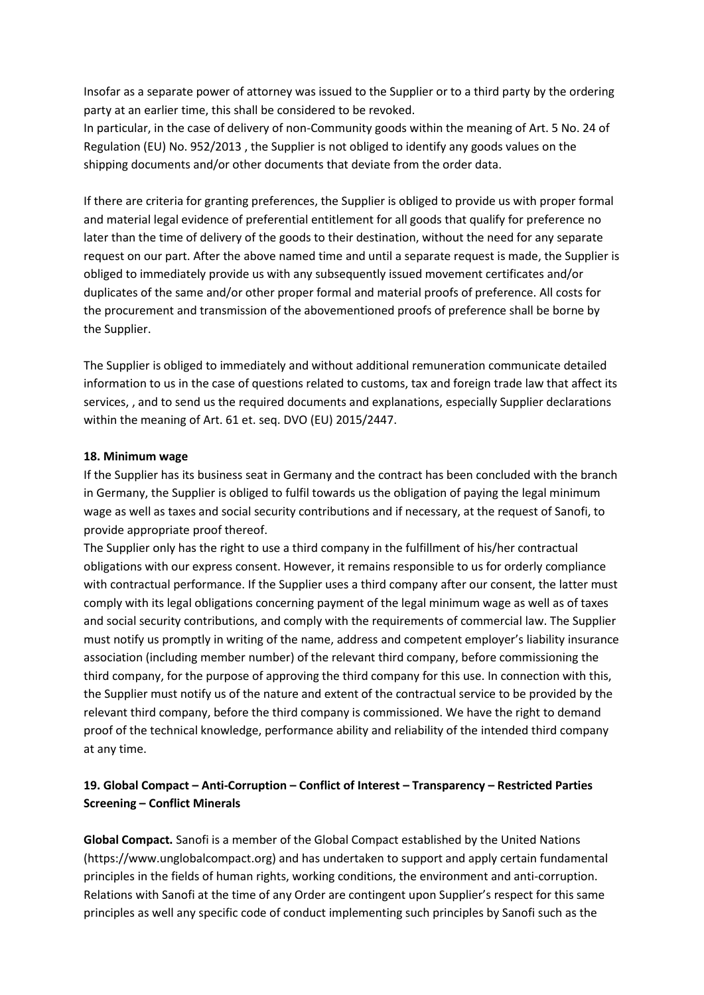Insofar as a separate power of attorney was issued to the Supplier or to a third party by the ordering party at an earlier time, this shall be considered to be revoked.

In particular, in the case of delivery of non-Community goods within the meaning of Art. 5 No. 24 of Regulation (EU) No. 952/2013 , the Supplier is not obliged to identify any goods values on the shipping documents and/or other documents that deviate from the order data.

If there are criteria for granting preferences, the Supplier is obliged to provide us with proper formal and material legal evidence of preferential entitlement for all goods that qualify for preference no later than the time of delivery of the goods to their destination, without the need for any separate request on our part. After the above named time and until a separate request is made, the Supplier is obliged to immediately provide us with any subsequently issued movement certificates and/or duplicates of the same and/or other proper formal and material proofs of preference. All costs for the procurement and transmission of the abovementioned proofs of preference shall be borne by the Supplier.

The Supplier is obliged to immediately and without additional remuneration communicate detailed information to us in the case of questions related to customs, tax and foreign trade law that affect its services, , and to send us the required documents and explanations, especially Supplier declarations within the meaning of Art. 61 et. seq. DVO (EU) 2015/2447.

#### **18. Minimum wage**

If the Supplier has its business seat in Germany and the contract has been concluded with the branch in Germany, the Supplier is obliged to fulfil towards us the obligation of paying the legal minimum wage as well as taxes and social security contributions and if necessary, at the request of Sanofi, to provide appropriate proof thereof.

The Supplier only has the right to use a third company in the fulfillment of his/her contractual obligations with our express consent. However, it remains responsible to us for orderly compliance with contractual performance. If the Supplier uses a third company after our consent, the latter must comply with its legal obligations concerning payment of the legal minimum wage as well as of taxes and social security contributions, and comply with the requirements of commercial law. The Supplier must notify us promptly in writing of the name, address and competent employer's liability insurance association (including member number) of the relevant third company, before commissioning the third company, for the purpose of approving the third company for this use. In connection with this, the Supplier must notify us of the nature and extent of the contractual service to be provided by the relevant third company, before the third company is commissioned. We have the right to demand proof of the technical knowledge, performance ability and reliability of the intended third company at any time.

# **19. Global Compact – Anti-Corruption – Conflict of Interest – Transparency – Restricted Parties Screening – Conflict Minerals**

**Global Compact.** Sanofi is a member of the Global Compact established by the United Nations (https://www.unglobalcompact.org) and has undertaken to support and apply certain fundamental principles in the fields of human rights, working conditions, the environment and anti-corruption. Relations with Sanofi at the time of any Order are contingent upon Supplier's respect for this same principles as well any specific code of conduct implementing such principles by Sanofi such as the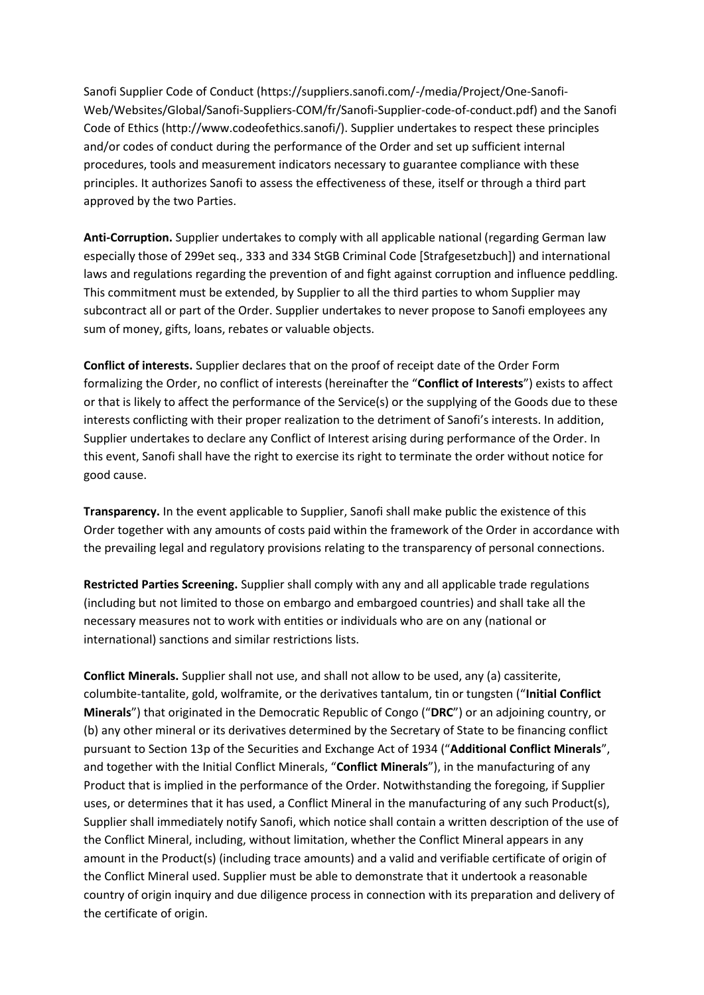Sanofi Supplier Code of Conduct (https://suppliers.sanofi.com/-/media/Project/One-Sanofi-Web/Websites/Global/Sanofi-Suppliers-COM/fr/Sanofi-Supplier-code-of-conduct.pdf) and the Sanofi Code of Ethics (http://www.codeofethics.sanofi/). Supplier undertakes to respect these principles and/or codes of conduct during the performance of the Order and set up sufficient internal procedures, tools and measurement indicators necessary to guarantee compliance with these principles. It authorizes Sanofi to assess the effectiveness of these, itself or through a third part approved by the two Parties.

**Anti-Corruption.** Supplier undertakes to comply with all applicable national (regarding German law especially those of 299et seq., 333 and 334 StGB Criminal Code [Strafgesetzbuch]) and international laws and regulations regarding the prevention of and fight against corruption and influence peddling. This commitment must be extended, by Supplier to all the third parties to whom Supplier may subcontract all or part of the Order. Supplier undertakes to never propose to Sanofi employees any sum of money, gifts, loans, rebates or valuable objects.

**Conflict of interests.** Supplier declares that on the proof of receipt date of the Order Form formalizing the Order, no conflict of interests (hereinafter the "**Conflict of Interests**") exists to affect or that is likely to affect the performance of the Service(s) or the supplying of the Goods due to these interests conflicting with their proper realization to the detriment of Sanofi's interests. In addition, Supplier undertakes to declare any Conflict of Interest arising during performance of the Order. In this event, Sanofi shall have the right to exercise its right to terminate the order without notice for good cause.

**Transparency.** In the event applicable to Supplier, Sanofi shall make public the existence of this Order together with any amounts of costs paid within the framework of the Order in accordance with the prevailing legal and regulatory provisions relating to the transparency of personal connections.

**Restricted Parties Screening.** Supplier shall comply with any and all applicable trade regulations (including but not limited to those on embargo and embargoed countries) and shall take all the necessary measures not to work with entities or individuals who are on any (national or international) sanctions and similar restrictions lists.

**Conflict Minerals.** Supplier shall not use, and shall not allow to be used, any (a) cassiterite, columbite-tantalite, gold, wolframite, or the derivatives tantalum, tin or tungsten ("**Initial Conflict Minerals**") that originated in the Democratic Republic of Congo ("**DRC**") or an adjoining country, or (b) any other mineral or its derivatives determined by the Secretary of State to be financing conflict pursuant to Section 13p of the Securities and Exchange Act of 1934 ("**Additional Conflict Minerals**", and together with the Initial Conflict Minerals, "**Conflict Minerals**"), in the manufacturing of any Product that is implied in the performance of the Order. Notwithstanding the foregoing, if Supplier uses, or determines that it has used, a Conflict Mineral in the manufacturing of any such Product(s), Supplier shall immediately notify Sanofi, which notice shall contain a written description of the use of the Conflict Mineral, including, without limitation, whether the Conflict Mineral appears in any amount in the Product(s) (including trace amounts) and a valid and verifiable certificate of origin of the Conflict Mineral used. Supplier must be able to demonstrate that it undertook a reasonable country of origin inquiry and due diligence process in connection with its preparation and delivery of the certificate of origin.